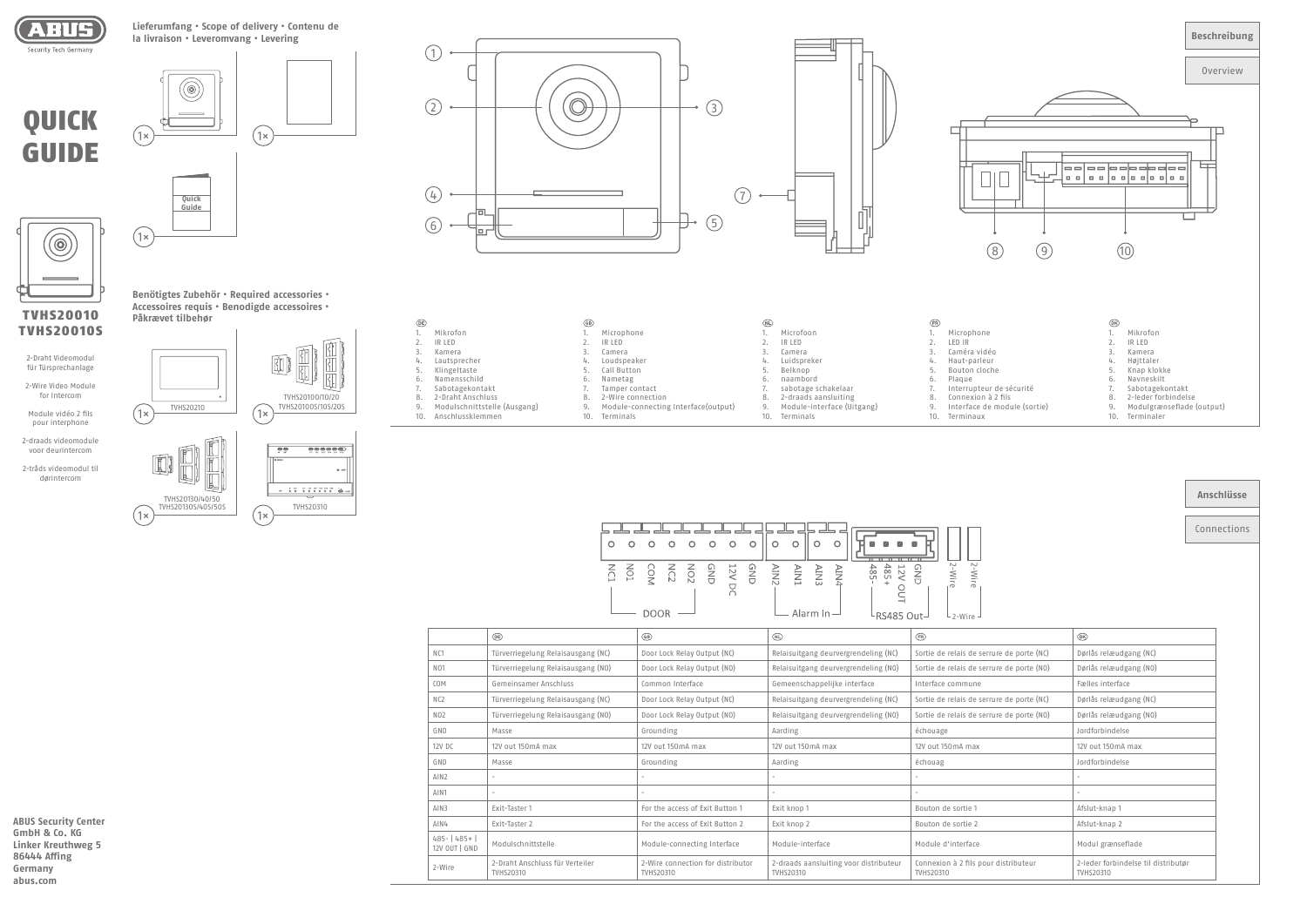

**ABUS Security Center GmbH & Co. KG Linker Kreuthweg 5 86444 Affing Germany abus.com**



TVHS20010S

2-Draht Videomodul für Türsprechanlage 2-Wire Video Module for Intercom Module vidéo 2 fils pour interphone 2-draads videomodule voor deurintercom 2-tråds videomodul til dørintercom

**Benötigtes Zubehör • Required accessories • Accessoires requis • Benodigde accessoires • Påkrævet tilbehør**

Connections

| Anschlüsse |  |  |  |  |
|------------|--|--|--|--|
|------------|--|--|--|--|

|                                | $\circledR$                                  | $\circledcirc$                                 | $\circledR$                                         | <b>ER</b>                                         | $\circledR$                                             |
|--------------------------------|----------------------------------------------|------------------------------------------------|-----------------------------------------------------|---------------------------------------------------|---------------------------------------------------------|
| N <sub>C1</sub>                | Türverriegelung Relaisausgang (NC)           | Door Lock Relay Output (NC)                    | Relaisuitgang deurvergrendeling (NC)                | Sortie de relais de serrure de porte (NC)         | Dørlås relæudgang (NC)                                  |
| N <sub>01</sub>                | Türverriegelung Relaisausgang (NO)           | Door Lock Relay Output (NO)                    | Relaisuitgang deurvergrendeling (NO)                | Sortie de relais de serrure de porte (NO)         | Dørlås relæudgang (NO)                                  |
| COM                            | Gemeinsamer Anschluss                        | Common Interface                               | Gemeenschappelijke interface                        | Interface commune                                 | Fælles interface                                        |
| N <sub>C2</sub>                | Türverriegelung Relaisausgang (NC)           | Door Lock Relay Output (NC)                    | Relaisuitgang deurvergrendeling (NC)                | Sortie de relais de serrure de porte (NC)         | Dørlås relæudgang (NC)                                  |
| N <sub>02</sub>                | Türverriegelung Relaisausgang (NO)           | Door Lock Relay Output (NO)                    | Relaisuitgang deurvergrendeling (NO)                | Sortie de relais de serrure de porte (NO)         | Dørlås relæudgang (NO)                                  |
| GND                            | Masse                                        | Grounding                                      | Aarding                                             | échouage                                          | Jordforbindelse                                         |
| 12V DC                         | 12V out 150mA max                            | 12V out 150mA max                              | 12V out 150mA max                                   | 12V out 150mA max                                 | 12V out 150mA max                                       |
| GND                            | Masse                                        | Grounding                                      | Aarding                                             | échouag                                           | Jordforbindelse                                         |
| AIN2                           |                                              |                                                | $\qquad \qquad =$                                   |                                                   |                                                         |
| AIN1                           | -                                            |                                                | $\overline{\phantom{a}}$                            |                                                   |                                                         |
| AIN3                           | Exit-Taster 1                                | For the access of Exit Button 1                | Exit knop 1                                         | Bouton de sortie 1                                | Afslut-knap 1                                           |
| AIN4                           | Exit-Taster 2                                | For the access of Exit Button 2                | Exit knop 2                                         | Bouton de sortie 2                                | Afslut-knap 2                                           |
| 485-   485+  <br>12V OUT   GND | Modulschnittstelle                           | Module-connecting Interface                    | Module-interface                                    | Module d'interface                                | Modul grænseflade                                       |
| 2-Wire                         | 2-Draht Anschluss für Verteiler<br>TVHS20310 | 2-Wire connection for distributor<br>TVHS20310 | 2-draads aansluiting voor distributeur<br>TVHS20310 | Connexion à 2 fils pour distributeur<br>TVHS20310 | 2-leder forbindelse til distributør<br><b>TVHS20310</b> |

| $\circledR$ |                              | (GB) |                                     | (NL) |                            | (FR) |                |
|-------------|------------------------------|------|-------------------------------------|------|----------------------------|------|----------------|
|             | Mikrofon                     |      | Microphone                          |      | Microfoon                  |      | Microphone     |
|             | IR LED                       |      | IR LED                              |      | IR LED                     |      | LED IR         |
| 3.          | Kamera                       |      | Camera                              |      | Camera                     |      | Caméra vidéo   |
| 4.          | Lautsprecher                 | 4.   | Loudspeaker                         | 4.   | Luidspreker                | 4.   | Haut-parleur   |
| 5.          | Klingeltaste                 | 5.   | Call Button                         | 5.   | Belknop                    |      | Bouton cloche  |
| 6.          | Namensschild                 | 6.   | Nametag                             | 6.   | naambord                   | 6.   | Plague         |
|             | Sabotagekontakt              |      | Tamper contact                      |      | sabotage schakelaar        |      | Interrupteur d |
| 8.          | 2-Draht Anschluss            | 8.   | 2-Wire connection                   | 8.   | 2-draads aansluiting       | 8.   | Connexion à 2  |
| 9.          | Modulschnittstelle (Ausgang) | 9.   | Module-connecting Interface(output) | 9.   | Module-interface (Uitgang) | 9.   | Interface de n |
| 10.         | Anschlussklemmen             | 10.  | Terminals                           | 10.  | Terminals                  | 10.  | Terminaux      |
|             |                              |      |                                     |      |                            |      |                |

| 3                |  |
|------------------|--|
| ά<br>5<br>6<br>口 |  |







**Lieferumfang • Scope of delivery • Contenu de la livraison • Leveromvang • Levering**



г

TVHS20310





| O<br>- 0 | $\circ$<br>- 0                                                                                                                                                                                                                                                                   | $\circ$ | $\circ$ | $\circ$ | $\circ$ |      |                  |    | 1911<br>191<br>$1 + 1$ |                     |                          |
|----------|----------------------------------------------------------------------------------------------------------------------------------------------------------------------------------------------------------------------------------------------------------------------------------|---------|---------|---------|---------|------|------------------|----|------------------------|---------------------|--------------------------|
| ğ<br>ÍÓ  | $\begin{array}{ccc}\n & \text{A} & \text{A} & \text{B} & \text{C} & \text{A} & \text{A} & \text{B} & \text{C} \\ & \text{A} & \text{B} & \text{C} & \text{C} & \text{C} & \text{C} & \text{C} \\ & \text{B} & \text{C} & \text{C} & \text{C} & \text{C} & \text{C}\n\end{array}$ |         |         |         |         | TNIV | AIN3<br>Alarm In | É. | 485<br>485             | $\overline{\sigma}$ | N<br>$\overline{\sigma}$ |